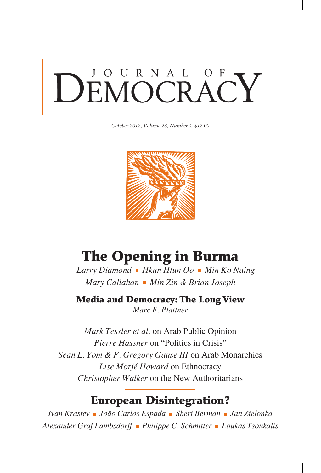

*October 2012, Volume 23, Number 4 \$12.00*



# The Opening in Burma

*Larry Diamond • Hkun Htun Oo • Min Ko Naing Mary Callahan • Min Zin & Brian Joseph* 

Media and Democracy: The Long View *Marc F. Plattner*

*Mark Tessler et al.* on Arab Public Opinion *Pierre Hassner* on "Politics in Crisis" *Sean L. Yom & F. Gregory Gause III* on Arab Monarchies *Lise Morjé Howard* on Ethnocracy *Christopher Walker* on the New Authoritarians

## European Disintegration?

*Ivan Krastev Jo~ao Carlos Espada Sheri Berman Jan Zielonka Alexander Graf Lambsdorff Philippe C. Schmitter Loukas Tsoukalis*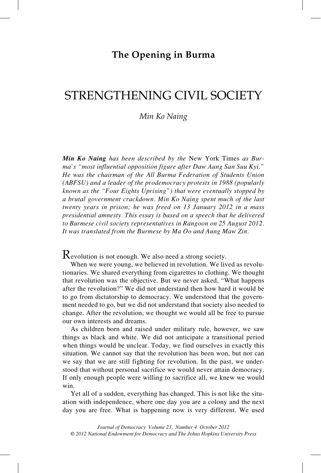### **The Opening in Burma**

## Strengthening Civil SOciety

#### *Min Ko Naing*

*Min Ko Naing has been described by the* New York Times *as Burma's "most influential opposition figure after Daw Aung San Suu Kyi." He was the chairman of the All Burma Federation of Students Union (ABFSU) and a leader of the prodemocracy protests in 1988 (popularly known as the "Four Eights Uprising") that were eventually stopped by a brutal government crackdown. Min Ko Naing spent much of the last twenty years in prison; he was freed on 13 January 2012 in a mass presidential amnesty. This essay is based on a speech that he delivered to Burmese civil society representatives in Rangoon on 25 August 2012. It was translated from the Burmese by Ma Oo and Aung Maw Zin.*

 $\mathbf R$ evolution is not enough. We also need a strong society.

When we were young, we believed in revolution. We lived as revolutionaries. We shared everything from cigarettes to clothing. We thought that revolution was the objective. But we never asked, "What happens after the revolution?" We did not understand then how hard it would be to go from dictatorship to democracy. We understood that the government needed to go, but we did not understand that society also needed to change. After the revolution, we thought we would all be free to pursue our own interests and dreams.

As children born and raised under military rule, however, we saw things as black and white. We did not anticipate a transitional period when things would be unclear. Today, we find ourselves in exactly this situation. We cannot say that the revolution has been won, but nor can we say that we are still fighting for revolution. In the past, we understood that without personal sacrifice we would never attain democracy. If only enough people were willing to sacrifice all, we knew we would win.

Yet all of a sudden, everything has changed. This is not like the situation with independence, where one day you are a colony and the next day you are free. What is happening now is very different. We used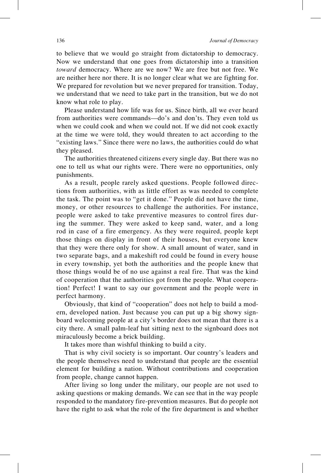to believe that we would go straight from dictatorship to democracy. Now we understand that one goes from dictatorship into a transition *toward* democracy. Where are we now? We are free but not free. We are neither here nor there. It is no longer clear what we are fighting for. We prepared for revolution but we never prepared for transition. Today, we understand that we need to take part in the transition, but we do not know what role to play.

Please understand how life was for us. Since birth, all we ever heard from authorities were commands—do's and don'ts. They even told us when we could cook and when we could not. If we did not cook exactly at the time we were told, they would threaten to act according to the "existing laws." Since there were no laws, the authorities could do what they pleased.

The authorities threatened citizens every single day. But there was no one to tell us what our rights were. There were no opportunities, only punishments.

As a result, people rarely asked questions. People followed directions from authorities, with as little effort as was needed to complete the task. The point was to "get it done." People did not have the time, money, or other resources to challenge the authorities. For instance, people were asked to take preventive measures to control fires during the summer. They were asked to keep sand, water, and a long rod in case of a fire emergency. As they were required, people kept those things on display in front of their houses, but everyone knew that they were there only for show. A small amount of water, sand in two separate bags, and a makeshift rod could be found in every house in every township, yet both the authorities and the people knew that those things would be of no use against a real fire. That was the kind of cooperation that the authorities got from the people. What cooperation! Perfect! I want to say our government and the people were in perfect harmony.

Obviously, that kind of "cooperation" does not help to build a modern, developed nation. Just because you can put up a big showy signboard welcoming people at a city's border does not mean that there is a city there. A small palm-leaf hut sitting next to the signboard does not miraculously become a brick building.

It takes more than wishful thinking to build a city.

That is why civil society is so important. Our country's leaders and the people themselves need to understand that people are the essential element for building a nation. Without contributions and cooperation from people, change cannot happen.

After living so long under the military, our people are not used to asking questions or making demands. We can see that in the way people responded to the mandatory fire-prevention measures. But do people not have the right to ask what the role of the fire department is and whether